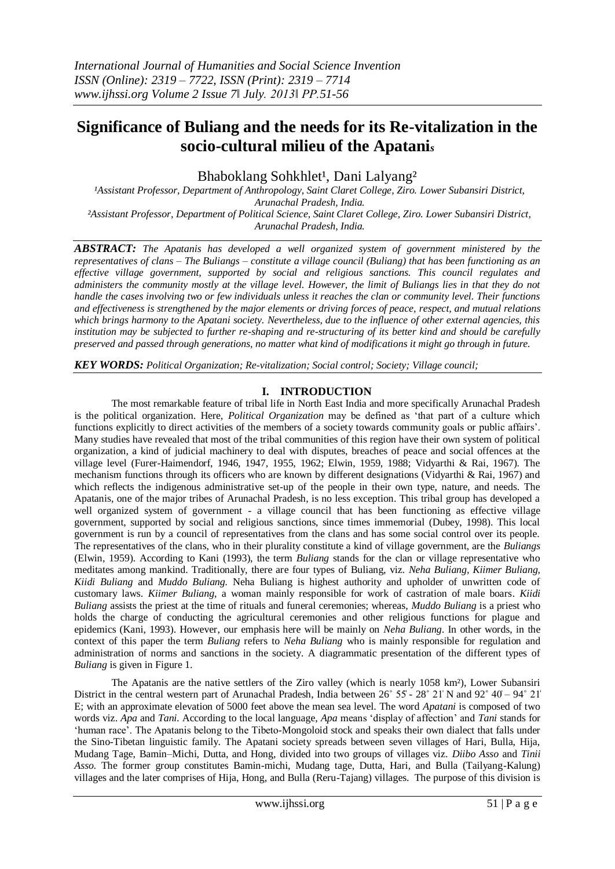# **Significance of Buliang and the needs for its Re-vitalization in the socio-cultural milieu of the Apatani***<sup>s</sup>*

Bhaboklang Sohkhlet<sup>1</sup>, Dani Lalyang<sup>2</sup>

<sup>1</sup>Assistant Professor, Department of Anthropology, Saint Claret College, Ziro. Lower Subansiri District, *Arunachal Pradesh, India. ²Assistant Professor, Department of Political Science, Saint Claret College, Ziro. Lower Subansiri District, Arunachal Pradesh, India.*

*ABSTRACT: The Apatanis has developed a well organized system of government ministered by the representatives of clans – The Buliangs – constitute a village council (Buliang) that has been functioning as an effective village government, supported by social and religious sanctions. This council regulates and administers the community mostly at the village level. However, the limit of Buliangs lies in that they do not handle the cases involving two or few individuals unless it reaches the clan or community level. Their functions and effectiveness is strengthened by the major elements or driving forces of peace, respect, and mutual relations which brings harmony to the Apatani society. Nevertheless, due to the influence of other external agencies, this institution may be subjected to further re-shaping and re-structuring of its better kind and should be carefully preserved and passed through generations, no matter what kind of modifications it might go through in future.*

*KEY WORDS: Political Organization; Re-vitalization; Social control; Society; Village council;*

## **I. INTRODUCTION**

The most remarkable feature of tribal life in North East India and more specifically Arunachal Pradesh is the political organization. Here, *Political Organization* may be defined as 'that part of a culture which functions explicitly to direct activities of the members of a society towards community goals or public affairs'. Many studies have revealed that most of the tribal communities of this region have their own system of political organization, a kind of judicial machinery to deal with disputes, breaches of peace and social offences at the village level (Furer-Haimendorf, 1946, 1947, 1955, 1962; Elwin, 1959, 1988; Vidyarthi & Rai, 1967). The mechanism functions through its officers who are known by different designations (Vidyarthi & Rai, 1967) and which reflects the indigenous administrative set-up of the people in their own type, nature, and needs. The Apatanis, one of the major tribes of Arunachal Pradesh, is no less exception. This tribal group has developed a well organized system of government - a village council that has been functioning as effective village government, supported by social and religious sanctions, since times immemorial (Dubey, 1998). This local government is run by a council of representatives from the clans and has some social control over its people. The representatives of the clans, who in their plurality constitute a kind of village government, are the *Buliangs*  (Elwin, 1959). According to Kani (1993), the term *Buliang* stands for the clan or village representative who meditates among mankind. Traditionally, there are four types of Buliang, viz. *Neha Buliang, Kiimer Buliang, Kiidi Buliang* and *Muddo Buliang.* Neha Buliang is highest authority and upholder of unwritten code of customary laws. *Kiimer Buliang*, a woman mainly responsible for work of castration of male boars. *Kiidi Buliang* assists the priest at the time of rituals and funeral ceremonies; whereas, *Muddo Buliang* is a priest who holds the charge of conducting the agricultural ceremonies and other religious functions for plague and epidemics (Kani, 1993). However, our emphasis here will be mainly on *Neha Buliang*. In other words, in the context of this paper the term *Buliang* refers to *Neha Buliang* who is mainly responsible for regulation and administration of norms and sanctions in the society. A diagrammatic presentation of the different types of *Buliang* is given in Figure 1.

The Apatanis are the native settlers of the Ziro valley (which is nearly 1058 km²), Lower Subansiri District in the central western part of Arunachal Pradesh, India between 26° 55′ - 28° 21′ N and 92° 40′ – 94° 21′ E; with an approximate elevation of 5000 feet above the mean sea level. The word *Apatani* is composed of two words viz. *Apa* and *Tani.* According to the local language, *Apa* means 'display of affection' and *Tani* stands for 'human race'. The Apatanis belong to the Tibeto-Mongoloid stock and speaks their own dialect that falls under the Sino-Tibetan linguistic family. The Apatani society spreads between seven villages of Hari, Bulla, Hija, Mudang Tage, Bamin–Michi, Dutta, and Hong, divided into two groups of villages viz. *Diibo Asso* and *Tinii Asso.* The former group constitutes Bamin-michi, Mudang tage, Dutta, Hari, and Bulla (Tailyang-Kalung) villages and the later comprises of Hija, Hong, and Bulla (Reru-Tajang) villages. The purpose of this division is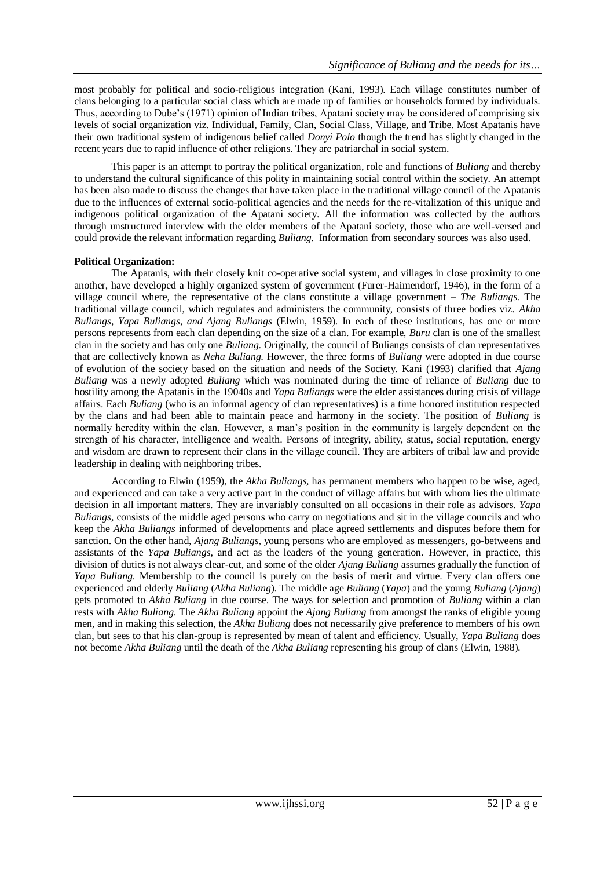most probably for political and socio-religious integration (Kani, 1993). Each village constitutes number of clans belonging to a particular social class which are made up of families or households formed by individuals. Thus, according to Dube's (1971) opinion of Indian tribes, Apatani society may be considered of comprising six levels of social organization viz. Individual, Family, Clan, Social Class, Village, and Tribe. Most Apatanis have their own traditional system of indigenous belief called *Donyi Polo* though the trend has slightly changed in the recent years due to rapid influence of other religions. They are patriarchal in social system.

This paper is an attempt to portray the political organization, role and functions of *Buliang* and thereby to understand the cultural significance of this polity in maintaining social control within the society. An attempt has been also made to discuss the changes that have taken place in the traditional village council of the Apatanis due to the influences of external socio-political agencies and the needs for the re-vitalization of this unique and indigenous political organization of the Apatani society. All the information was collected by the authors through unstructured interview with the elder members of the Apatani society, those who are well-versed and could provide the relevant information regarding *Buliang*. Information from secondary sources was also used.

### **Political Organization:**

The Apatanis, with their closely knit co-operative social system, and villages in close proximity to one another, have developed a highly organized system of government (Furer-Haimendorf, 1946), in the form of a village council where, the representative of the clans constitute a village government – *The Buliangs*. The traditional village council, which regulates and administers the community, consists of three bodies viz. *Akha Buliangs, Yapa Buliangs, and Ajang Buliangs* (Elwin, 1959)*.* In each of these institutions, has one or more persons represents from each clan depending on the size of a clan. For example, *Buru* clan is one of the smallest clan in the society and has only one *Buliang*. Originally, the council of Buliangs consists of clan representatives that are collectively known as *Neha Buliang.* However, the three forms of *Buliang* were adopted in due course of evolution of the society based on the situation and needs of the Society. Kani (1993) clarified that *Ajang Buliang* was a newly adopted *Buliang* which was nominated during the time of reliance of *Buliang* due to hostility among the Apatanis in the 19040s and *Yapa Buliangs* were the elder assistances during crisis of village affairs. Each *Buliang* (who is an informal agency of clan representatives) is a time honored institution respected by the clans and had been able to maintain peace and harmony in the society. The position of *Buliang* is normally heredity within the clan. However, a man's position in the community is largely dependent on the strength of his character, intelligence and wealth. Persons of integrity, ability, status, social reputation, energy and wisdom are drawn to represent their clans in the village council. They are arbiters of tribal law and provide leadership in dealing with neighboring tribes.

According to Elwin (1959), the *Akha Buliangs,* has permanent members who happen to be wise, aged, and experienced and can take a very active part in the conduct of village affairs but with whom lies the ultimate decision in all important matters*.* They are invariably consulted on all occasions in their role as advisors. *Yapa Buliangs,* consists of the middle aged persons who carry on negotiations and sit in the village councils and who keep the *Akha Buliangs* informed of developments and place agreed settlements and disputes before them for sanction. On the other hand, *Ajang Buliangs,* young persons who are employed as messengers, go-betweens and assistants of the *Yapa Buliangs*, and act as the leaders of the young generation*.* However, in practice, this division of duties is not always clear-cut, and some of the older *Ajang Buliang* assumes gradually the function of *Yapa Buliang*. Membership to the council is purely on the basis of merit and virtue. Every clan offers one experienced and elderly *Buliang* (*Akha Buliang*). The middle age *Buliang* (*Yapa*) and the young *Buliang* (*Ajang*) gets promoted to *Akha Buliang* in due course. The ways for selection and promotion of *Buliang* within a clan rests with *Akha Buliang*. The *Akha Buliang* appoint the *Ajang Buliang* from amongst the ranks of eligible young men, and in making this selection, the *Akha Buliang* does not necessarily give preference to members of his own clan, but sees to that his clan-group is represented by mean of talent and efficiency. Usually, *Yapa Buliang* does not become *Akha Buliang* until the death of the *Akha Buliang* representing his group of clans (Elwin, 1988)*.*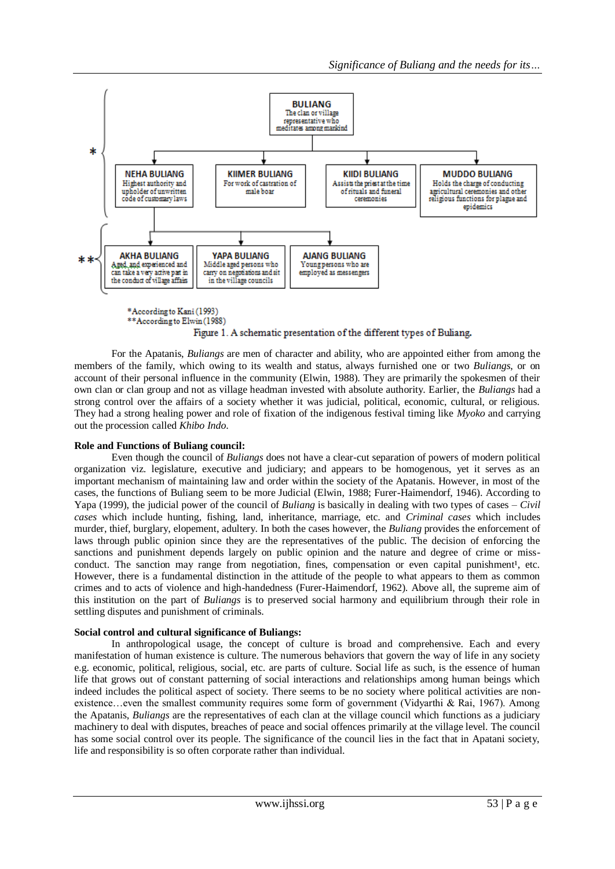

#### Figure 1. A schematic presentation of the different types of Buliang.

For the Apatanis, *Buliangs* are men of character and ability, who are appointed either from among the members of the family, which owing to its wealth and status, always furnished one or two *Buliangs*, or on account of their personal influence in the community (Elwin, 1988). They are primarily the spokesmen of their own clan or clan group and not as village headman invested with absolute authority. Earlier, the *Buliangs* had a strong control over the affairs of a society whether it was judicial, political, economic, cultural, or religious. They had a strong healing power and role of fixation of the indigenous festival timing like *Myoko* and carrying out the procession called *Khibo Indo*.

### **Role and Functions of Buliang council:**

Even though the council of *Buliangs* does not have a clear-cut separation of powers of modern political organization viz. legislature, executive and judiciary; and appears to be homogenous, yet it serves as an important mechanism of maintaining law and order within the society of the Apatanis. However, in most of the cases, the functions of Buliang seem to be more Judicial (Elwin, 1988; Furer-Haimendorf, 1946). According to Yapa (1999), the judicial power of the council of *Buliang* is basically in dealing with two types of cases – *Civil cases* which include hunting, fishing, land, inheritance, marriage, etc. and *Criminal cases* which includes murder, thief, burglary, elopement, adultery. In both the cases however, the *Buliang* provides the enforcement of laws through public opinion since they are the representatives of the public. The decision of enforcing the sanctions and punishment depends largely on public opinion and the nature and degree of crime or missconduct. The sanction may range from negotiation, fines, compensation or even capital punishment<sup>1</sup>, etc. However, there is a fundamental distinction in the attitude of the people to what appears to them as common crimes and to acts of violence and high-handedness (Furer-Haimendorf, 1962). Above all, the supreme aim of this institution on the part of *Buliangs* is to preserved social harmony and equilibrium through their role in settling disputes and punishment of criminals.

### **Social control and cultural significance of Buliangs:**

In anthropological usage, the concept of culture is broad and comprehensive. Each and every manifestation of human existence is culture. The numerous behaviors that govern the way of life in any society e.g. economic, political, religious, social, etc. are parts of culture. Social life as such, is the essence of human life that grows out of constant patterning of social interactions and relationships among human beings which indeed includes the political aspect of society. There seems to be no society where political activities are nonexistence…even the smallest community requires some form of government (Vidyarthi & Rai, 1967). Among the Apatanis, *Buliangs* are the representatives of each clan at the village council which functions as a judiciary machinery to deal with disputes, breaches of peace and social offences primarily at the village level. The council has some social control over its people. The significance of the council lies in the fact that in Apatani society, life and responsibility is so often corporate rather than individual.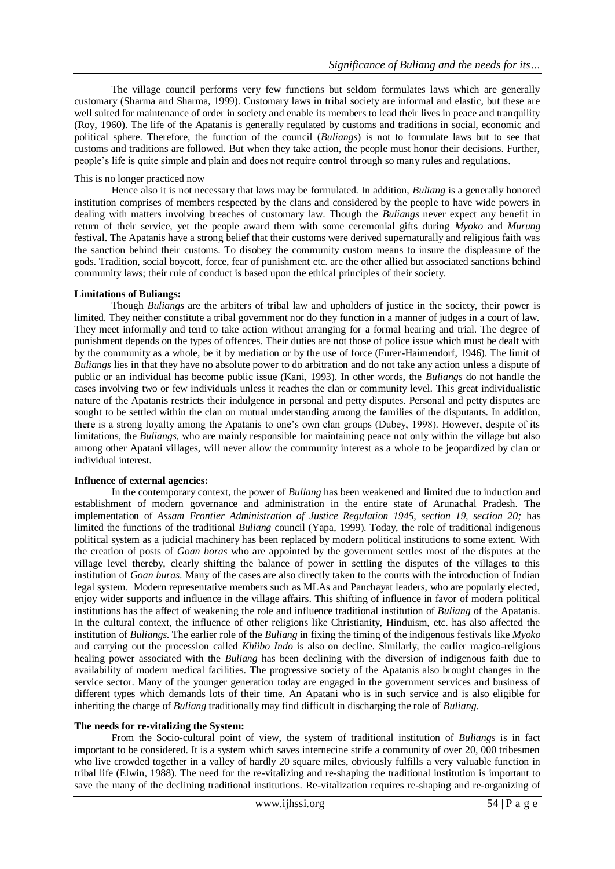The village council performs very few functions but seldom formulates laws which are generally customary (Sharma and Sharma, 1999). Customary laws in tribal society are informal and elastic, but these are well suited for maintenance of order in society and enable its members to lead their lives in peace and tranquility (Roy, 1960). The life of the Apatanis is generally regulated by customs and traditions in social, economic and political sphere. Therefore, the function of the council (*Buliangs*) is not to formulate laws but to see that customs and traditions are followed. But when they take action, the people must honor their decisions. Further, people's life is quite simple and plain and does not require control through so many rules and regulations.

### This is no longer practiced now

Hence also it is not necessary that laws may be formulated. In addition, *Buliang* is a generally honored institution comprises of members respected by the clans and considered by the people to have wide powers in dealing with matters involving breaches of customary law. Though the *Buliangs* never expect any benefit in return of their service, yet the people award them with some ceremonial gifts during *Myoko* and *Murung*  festival. The Apatanis have a strong belief that their customs were derived supernaturally and religious faith was the sanction behind their customs. To disobey the community custom means to insure the displeasure of the gods. Tradition, social boycott, force, fear of punishment etc. are the other allied but associated sanctions behind community laws; their rule of conduct is based upon the ethical principles of their society.

#### **Limitations of Buliangs:**

Though *Buliangs* are the arbiters of tribal law and upholders of justice in the society, their power is limited. They neither constitute a tribal government nor do they function in a manner of judges in a court of law. They meet informally and tend to take action without arranging for a formal hearing and trial. The degree of punishment depends on the types of offences. Their duties are not those of police issue which must be dealt with by the community as a whole, be it by mediation or by the use of force (Furer-Haimendorf, 1946). The limit of *Buliangs* lies in that they have no absolute power to do arbitration and do not take any action unless a dispute of public or an individual has become public issue (Kani, 1993). In other words, the *Buliangs* do not handle the cases involving two or few individuals unless it reaches the clan or community level. This great individualistic nature of the Apatanis restricts their indulgence in personal and petty disputes. Personal and petty disputes are sought to be settled within the clan on mutual understanding among the families of the disputants. In addition, there is a strong loyalty among the Apatanis to one's own clan groups (Dubey, 1998). However, despite of its limitations, the *Buliangs*, who are mainly responsible for maintaining peace not only within the village but also among other Apatani villages, will never allow the community interest as a whole to be jeopardized by clan or individual interest.

#### **Influence of external agencies:**

In the contemporary context, the power of *Buliang* has been weakened and limited due to induction and establishment of modern governance and administration in the entire state of Arunachal Pradesh. The implementation of *Assam Frontier Administration of Justice Regulation 1945, section 19, section 20;* has limited the functions of the traditional *Buliang* council (Yapa, 1999). Today, the role of traditional indigenous political system as a judicial machinery has been replaced by modern political institutions to some extent. With the creation of posts of *Goan boras* who are appointed by the government settles most of the disputes at the village level thereby, clearly shifting the balance of power in settling the disputes of the villages to this institution of *Goan buras*. Many of the cases are also directly taken to the courts with the introduction of Indian legal system. Modern representative members such as MLAs and Panchayat leaders, who are popularly elected, enjoy wider supports and influence in the village affairs. This shifting of influence in favor of modern political institutions has the affect of weakening the role and influence traditional institution of *Buliang* of the Apatanis. In the cultural context, the influence of other religions like Christianity, Hinduism, etc. has also affected the institution of *Buliangs*. The earlier role of the *Buliang* in fixing the timing of the indigenous festivals like *Myoko* and carrying out the procession called *Khiibo Indo* is also on decline. Similarly, the earlier magico-religious healing power associated with the *Buliang* has been declining with the diversion of indigenous faith due to availability of modern medical facilities. The progressive society of the Apatanis also brought changes in the service sector. Many of the younger generation today are engaged in the government services and business of different types which demands lots of their time. An Apatani who is in such service and is also eligible for inheriting the charge of *Buliang* traditionally may find difficult in discharging the role of *Buliang*.

#### **The needs for re-vitalizing the System:**

From the Socio-cultural point of view, the system of traditional institution of *Buliangs* is in fact important to be considered. It is a system which saves internecine strife a community of over 20, 000 tribesmen who live crowded together in a valley of hardly 20 square miles, obviously fulfills a very valuable function in tribal life (Elwin, 1988). The need for the re-vitalizing and re-shaping the traditional institution is important to save the many of the declining traditional institutions. Re-vitalization requires re-shaping and re-organizing of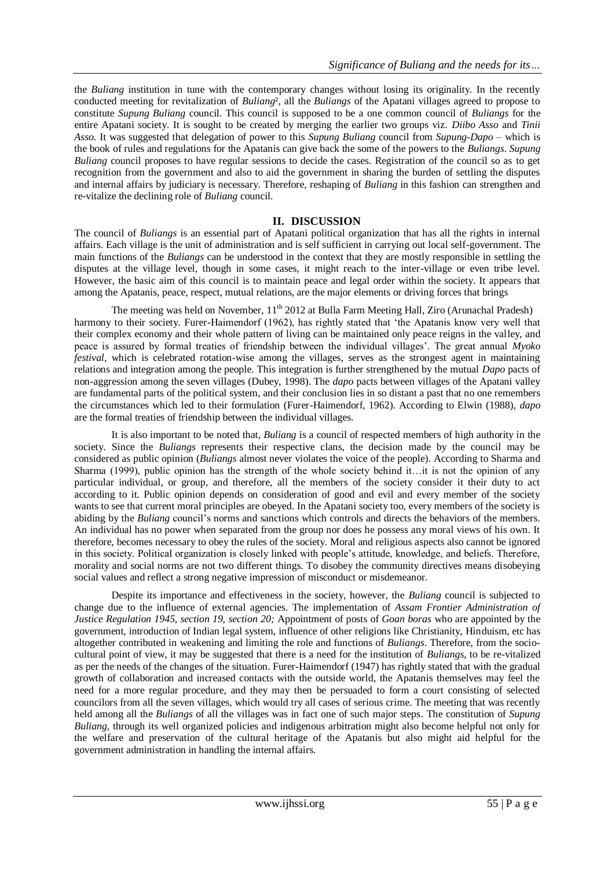the *Buliang* institution in tune with the contemporary changes without losing its originality. In the recently conducted meeting for revitalization of *Buliang*², all the *Buliangs* of the Apatani villages agreed to propose to constitute *Supung Buliang* council. This council is supposed to be a one common council of *Buliangs* for the entire Apatani society. It is sought to be created by merging the earlier two groups viz. *Diibo Asso* and *Tinii Asso.* It was suggested that delegation of power to this *Supung Buliang* council from *Supung-Dapo –* which is the book of rules and regulations for the Apatanis can give back the some of the powers to the *Buliangs*. *Supung Buliang* council proposes to have regular sessions to decide the cases. Registration of the council so as to get recognition from the government and also to aid the government in sharing the burden of settling the disputes and internal affairs by judiciary is necessary. Therefore, reshaping of *Buliang* in this fashion can strengthen and re-vitalize the declining role of *Buliang* council.

## **II. DISCUSSION**

The council of *Buliangs* is an essential part of Apatani political organization that has all the rights in internal affairs. Each village is the unit of administration and is self sufficient in carrying out local self-government. The main functions of the *Buliangs* can be understood in the context that they are mostly responsible in settling the disputes at the village level, though in some cases, it might reach to the inter-village or even tribe level. However, the basic aim of this council is to maintain peace and legal order within the society. It appears that among the Apatanis, peace, respect, mutual relations, are the major elements or driving forces that brings

The meeting was held on November,  $11<sup>th</sup> 2012$  at Bulla Farm Meeting Hall, Ziro (Arunachal Pradesh) harmony to their society. Furer-Haimendorf (1962), has rightly stated that 'the Apatanis know very well that their complex economy and their whole pattern of living can be maintained only peace reigns in the valley, and peace is assured by formal treaties of friendship between the individual villages'. The great annual *Myoko festival*, which is celebrated rotation-wise among the villages, serves as the strongest agent in maintaining relations and integration among the people. This integration is further strengthened by the mutual *Dapo* pacts of non-aggression among the seven villages (Dubey, 1998). The *dapo* pacts between villages of the Apatani valley are fundamental parts of the political system, and their conclusion lies in so distant a past that no one remembers the circumstances which led to their formulation (Furer-Haimendorf, 1962). According to Elwin (1988), *dapo*  are the formal treaties of friendship between the individual villages.

It is also important to be noted that, *Buliang* is a council of respected members of high authority in the society. Since the *Buliangs* represents their respective clans, the decision made by the council may be considered as public opinion (*Buliangs* almost never violates the voice of the people). According to Sharma and Sharma (1999), public opinion has the strength of the whole society behind it…it is not the opinion of any particular individual, or group, and therefore, all the members of the society consider it their duty to act according to it. Public opinion depends on consideration of good and evil and every member of the society wants to see that current moral principles are obeyed. In the Apatani society too, every members of the society is abiding by the *Buliang* council's norms and sanctions which controls and directs the behaviors of the members. An individual has no power when separated from the group nor does he possess any moral views of his own. It therefore, becomes necessary to obey the rules of the society. Moral and religious aspects also cannot be ignored in this society. Political organization is closely linked with people's attitude, knowledge, and beliefs. Therefore, morality and social norms are not two different things. To disobey the community directives means disobeying social values and reflect a strong negative impression of misconduct or misdemeanor.

Despite its importance and effectiveness in the society, however, the *Buliang* council is subjected to change due to the influence of external agencies. The implementation of *Assam Frontier Administration of Justice Regulation 1945, section 19, section 20;* Appointment of posts of *Goan boras* who are appointed by the government, introduction of Indian legal system, influence of other religions like Christianity, Hinduism, etc has altogether contributed in weakening and limiting the role and functions of *Buliangs*. Therefore, from the sociocultural point of view, it may be suggested that there is a need for the institution of *Buliangs*, to be re-vitalized as per the needs of the changes of the situation. Furer-Haimendorf (1947) has rightly stated that with the gradual growth of collaboration and increased contacts with the outside world, the Apatanis themselves may feel the need for a more regular procedure, and they may then be persuaded to form a court consisting of selected councilors from all the seven villages, which would try all cases of serious crime. The meeting that was recently held among all the *Buliangs* of all the villages was in fact one of such major steps. The constitution of *Supung Buliang,* through its well organized policies and indigenous arbitration might also become helpful not only for the welfare and preservation of the cultural heritage of the Apatanis but also might aid helpful for the government administration in handling the internal affairs.